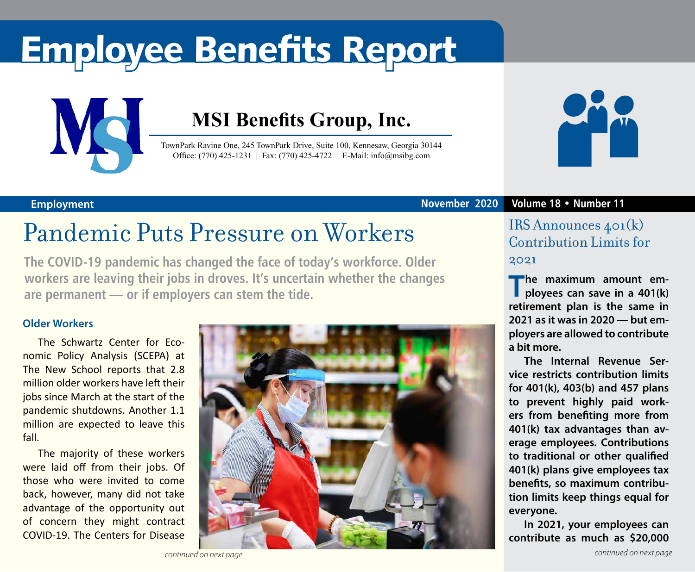# Employee Benefits Report



## **MSI Benefits Group, Inc.**

TownPark Ravine One, 245 TownPark Drive, Suite 100, Kennesaw, Georgia 30144 Office: (770) 425-1231 | Fax: (770) 425-4722 | E-Mail: info@msibg.com



## Pandemic Puts Pressure on Workers

**The COVID-19 pandemic has changed the face of today's workforce. Older workers are leaving their jobs in droves. It's uncertain whether the changes are permanent — or if employers can stem the tide.**

### **Older Workers**

The Schwartz Center for Economic Policy Analysis (SCEPA) at The New School reports that 2.8 million older workers have left their jobs since March at the start of the pandemic shutdowns. Another 1.1 million are expected to leave this fall.

The majority of these workers were laid off from their jobs. Of those who were invited to come back, however, many did not take advantage of the opportunity out of concern they might contract COVID-19. The Centers for Disease



#### **Employment November 2020 Volume 18 • Number 11**

### IRS Announces 401(k) Contribution Limits for 2021

**The maximum amount employees can save in a 401(k) retirement plan is the same in 2021 as it was in 2020 — but employers are allowed to contribute a bit more.**

**The Internal Revenue Service restricts contribution limits for 401(k), 403(b) and 457 plans to prevent highly paid workers from benefiting more from 401(k) tax advantages than average employees. Contributions to traditional or other qualified 401(k) plans give employees tax benefits, so maximum contribution limits keep things equal for everyone.**

**In 2021, your employees can contribute as much as \$20,000**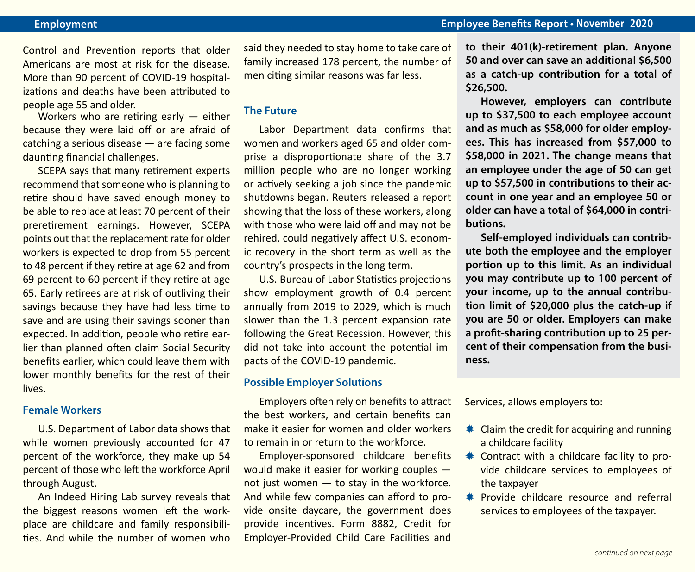Control and Prevention reports that older Americans are most at risk for the disease. More than 90 percent of COVID-19 hospitalizations and deaths have been attributed to people age 55 and older.

Workers who are retiring early — either because they were laid off or are afraid of catching a serious disease — are facing some daunting financial challenges.

SCEPA says that many retirement experts recommend that someone who is planning to retire should have saved enough money to be able to replace at least 70 percent of their preretirement earnings. However, SCEPA points out that the replacement rate for older workers is expected to drop from 55 percent to 48 percent if they retire at age 62 and from 69 percent to 60 percent if they retire at age 65. Early retirees are at risk of outliving their savings because they have had less time to save and are using their savings sooner than expected. In addition, people who retire earlier than planned often claim Social Security benefits earlier, which could leave them with lower monthly benefits for the rest of their lives.

#### **Female Workers**

U.S. Department of Labor data shows that while women previously accounted for 47 percent of the workforce, they make up 54 percent of those who left the workforce April through August.

An Indeed Hiring Lab survey reveals that the biggest reasons women left the workplace are childcare and family responsibilities. And while the number of women who said they needed to stay home to take care of family increased 178 percent, the number of men citing similar reasons was far less.

#### **The Future**

Labor Department data confirms that women and workers aged 65 and older comprise a disproportionate share of the 3.7 million people who are no longer working or actively seeking a job since the pandemic shutdowns began. Reuters released a report showing that the loss of these workers, along with those who were laid off and may not be rehired, could negatively affect U.S. economic recovery in the short term as well as the country's prospects in the long term.

U.S. Bureau of Labor Statistics projections show employment growth of 0.4 percent annually from 2019 to 2029, which is much slower than the 1.3 percent expansion rate following the Great Recession. However, this did not take into account the potential impacts of the COVID-19 pandemic.

#### **Possible Employer Solutions**

Employers often rely on benefits to attract the best workers, and certain benefits can make it easier for women and older workers to remain in or return to the workforce.

Employer-sponsored childcare benefits would make it easier for working couples not just women — to stay in the workforce. And while few companies can afford to provide onsite daycare, the government does provide incentives. Form 8882, Credit for Employer-Provided Child Care Facilities and

**to their 401(k)-retirement plan. Anyone 50 and over can save an additional \$6,500 as a catch-up contribution for a total of \$26,500.** 

**However, employers can contribute up to \$37,500 to each employee account and as much as \$58,000 for older employees. This has increased from \$57,000 to \$58,000 in 2021. The change means that an employee under the age of 50 can get up to \$57,500 in contributions to their account in one year and an employee 50 or older can have a total of \$64,000 in contributions.**

**Self-employed individuals can contribute both the employee and the employer portion up to this limit. As an individual you may contribute up to 100 percent of your income, up to the annual contribution limit of \$20,000 plus the catch-up if you are 50 or older. Employers can make a profit-sharing contribution up to 25 percent of their compensation from the business.**

Services, allows employers to:

- $*$  Claim the credit for acquiring and running a childcare facility
- **\*\*** Contract with a childcare facility to provide childcare services to employees of the taxpayer
- **\*** Provide childcare resource and referral services to employees of the taxpayer.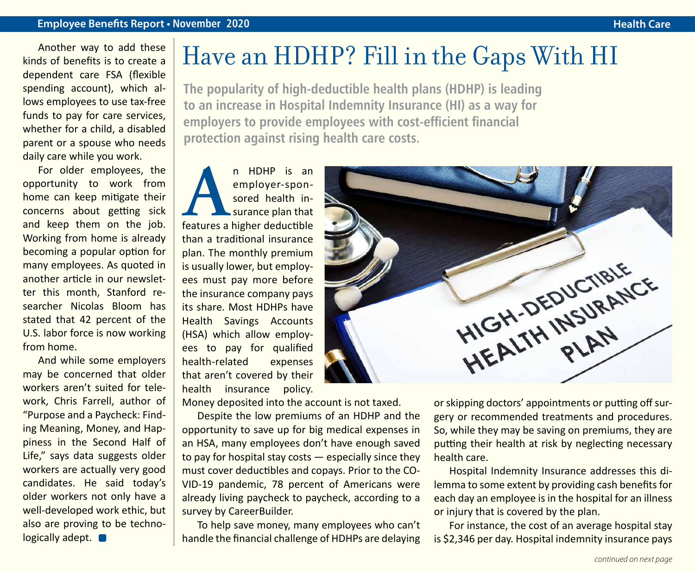#### **Employee Benefits Report • November 2020**

Another way to add these kinds of benefits is to create a dependent care FSA (flexible spending account), which allows employees to use tax-free funds to pay for care services, whether for a child, a disabled parent or a spouse who needs daily care while you work.

For older employees, the opportunity to work from home can keep mitigate their concerns about getting sick and keep them on the job. Working from home is already becoming a popular option for many employees. As quoted in another article in our newsletter this month, Stanford researcher Nicolas Bloom has stated that 42 percent of the U.S. labor force is now working from home.

And while some employers may be concerned that older workers aren't suited for telework, Chris Farrell, author of "Purpose and a Paycheck: Finding Meaning, Money, and Happiness in the Second Half of Life," says data suggests older workers are actually very good candidates. He said today's older workers not only have a well-developed work ethic, but also are proving to be technologically adept.  $\blacksquare$ 

## Have an HDHP? Fill in the Gaps With HI

**The popularity of high-deductible health plans (HDHP) is leading to an increase in Hospital Indemnity Insurance (HI) as a way for employers to provide employees with cost-efficient financial protection against rising health care costs.**

**A**n HDHP is an employer-sponsored health in-<br>surance plan that<br>features a higher deductible employer-sponsored health insurance plan that than a traditional insurance plan. The monthly premium is usually lower, but employees must pay more before the insurance company pays its share. Most HDHPs have Health Savings Accounts (HSA) which allow employees to pay for qualified health-related expenses that aren't covered by their health insurance policy.

Money deposited into the account is not taxed.

Despite the low premiums of an HDHP and the opportunity to save up for big medical expenses in an HSA, many employees don't have enough saved to pay for hospital stay costs — especially since they must cover deductibles and copays. Prior to the CO-VID-19 pandemic, 78 percent of Americans were already living paycheck to paycheck, according to a survey by CareerBuilder.

To help save money, many employees who can't handle the financial challenge of HDHPs are delaying



or skipping doctors' appointments or putting off surgery or recommended treatments and procedures. So, while they may be saving on premiums, they are putting their health at risk by neglecting necessary health care.

Hospital Indemnity Insurance addresses this dilemma to some extent by providing cash benefits for each day an employee is in the hospital for an illness or injury that is covered by the plan.

For instance, the cost of an average hospital stay is \$2,346 per day. Hospital indemnity insurance pays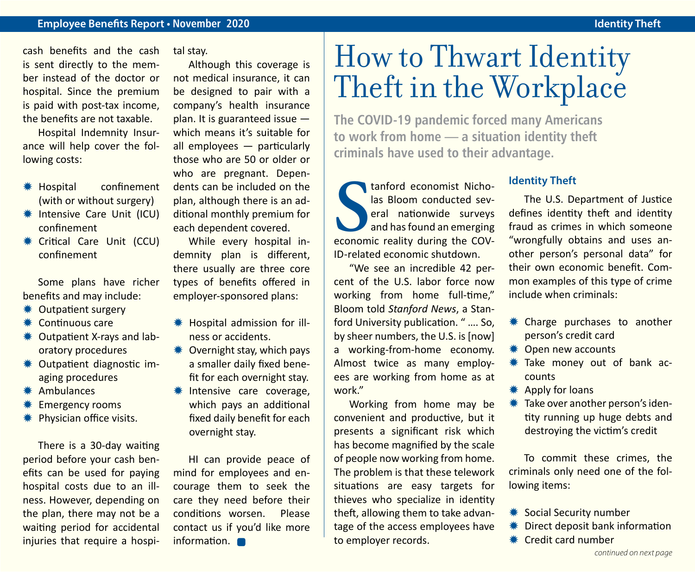cash benefits and the cash is sent directly to the member instead of the doctor or hospital. Since the premium is paid with post-tax income, the benefits are not taxable.

Hospital Indemnity Insurance will help cover the following costs:

- \* Hospital confinement (with or without surgery)
- **\* Intensive Care Unit (ICU)** confinement
- **\*** Critical Care Unit (CCU) confinement

Some plans have richer benefits and may include:

- **⊘** Outpatient surgery
- $*$  Continuous care
- **WE Outpatient X-rays and lab**oratory procedures
- Y Outpatient diagnostic imaging procedures
- \* Ambulances
- **Emergency rooms**
- **\*** Physician office visits.

There is a 30-day waiting period before your cash benefits can be used for paying hospital costs due to an illness. However, depending on the plan, there may not be a waiting period for accidental injuries that require a hospital stay.

Although this coverage is not medical insurance, it can be designed to pair with a company's health insurance plan. It is guaranteed issue which means it's suitable for all employees — particularly those who are 50 or older or who are pregnant. Dependents can be included on the plan, although there is an additional monthly premium for each dependent covered.

While every hospital indemnity plan is different, there usually are three core types of benefits offered in employer-sponsored plans:

- **\*\*** Hospital admission for illness or accidents.
- $*$  Overnight stay, which pays a smaller daily fixed benefit for each overnight stay.
- \* Intensive care coverage, which pays an additional fixed daily benefit for each overnight stay.

HI can provide peace of mind for employees and encourage them to seek the care they need before their conditions worsen. Please contact us if you'd like more information.  $\blacksquare$ 

# How to Thwart Identity Theft in the Workplace

**The COVID-19 pandemic forced many Americans to work from home — a situation identity theft criminals have used to their advantage.**

**S** economic reality during the COVtanford economist Nicholas Bloom conducted several nationwide surveys and has found an emerging ID-related economic shutdown.

"We see an incredible 42 percent of the U.S. labor force now working from home full-time," Bloom told *Stanford News*, a Stanford University publication. " …. So, by sheer numbers, the U.S. is [now] a working-from-home economy. Almost twice as many employees are working from home as at work"

Working from home may be convenient and productive, but it presents a significant risk which has become magnified by the scale of people now working from home. The problem is that these telework situations are easy targets for thieves who specialize in identity theft, allowing them to take advantage of the access employees have to employer records.

### **Identity Theft**

The U.S. Department of Justice defines identity theft and identity fraud as crimes in which someone "wrongfully obtains and uses another person's personal data" for their own economic benefit. Common examples of this type of crime include when criminals:

- \* Charge purchases to another person's credit card
- \* Open new accounts
- **WE** Take money out of bank accounts
- $*$  Apply for loans
- $*$  **Take over another person's iden**tity running up huge debts and destroying the victim's credit

To commit these crimes, the criminals only need one of the following items:

- **\*\*** Social Security number
- $*$  Direct deposit bank information
- $*$  Credit card number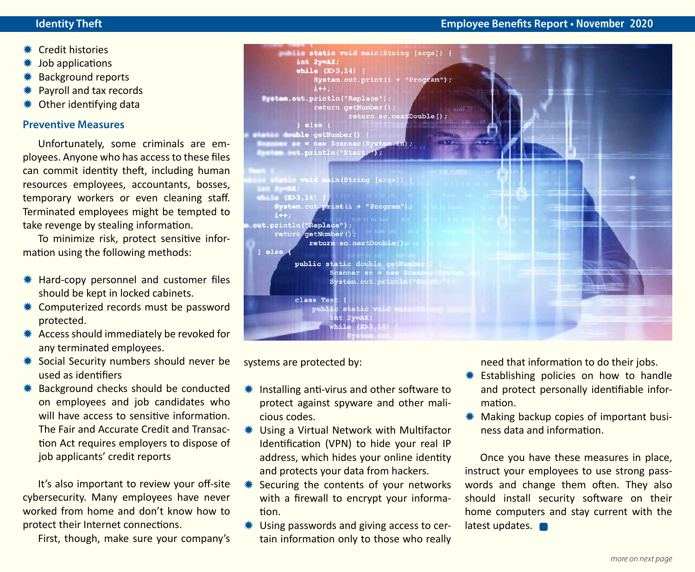- **\*\*** Credit histories
- Job applications
- **Background reports**
- Payroll and tax records
- Other identifying data

#### **Preventive Measures**

Unfortunately, some criminals are employees. Anyone who has access to these files can commit identity theft, including human resources employees, accountants, bosses, temporary workers or even cleaning staff. Terminated employees might be tempted to take revenge by stealing information.

To minimize risk, protect sensitive information using the following methods:

- **\# Hard-copy personnel and customer files** should be kept in locked cabinets.
- **\*\*** Computerized records must be password protected.
- **\*\*** Access should immediately be revoked for any terminated employees.
- **\*\*** Social Security numbers should never be used as identifiers
- **\*** Background checks should be conducted on employees and job candidates who will have access to sensitive information. The Fair and Accurate Credit and Transaction Act requires employers to dispose of job applicants' credit reports

It's also important to review your off-site cybersecurity. Many employees have never worked from home and don't know how to protect their Internet connections.

First, though, make sure your company's



systems are protected by:

- **\#\** Installing anti-virus and other software to protect against spyware and other malicious codes.
- **\*\*** Using a Virtual Network with Multifactor Identification (VPN) to hide your real IP address, which hides your online identity and protects your data from hackers.
- **\*\*** Securing the contents of your networks with a firewall to encrypt your information.
- $*$  Using passwords and giving access to certain information only to those who really

need that information to do their jobs.

- **\*\*** Establishing policies on how to handle and protect personally identifiable information.
- **We Making backup copies of important busi**ness data and information.

Once you have these measures in place, instruct your employees to use strong passwords and change them often. They also should install security software on their home computers and stay current with the latest updates.